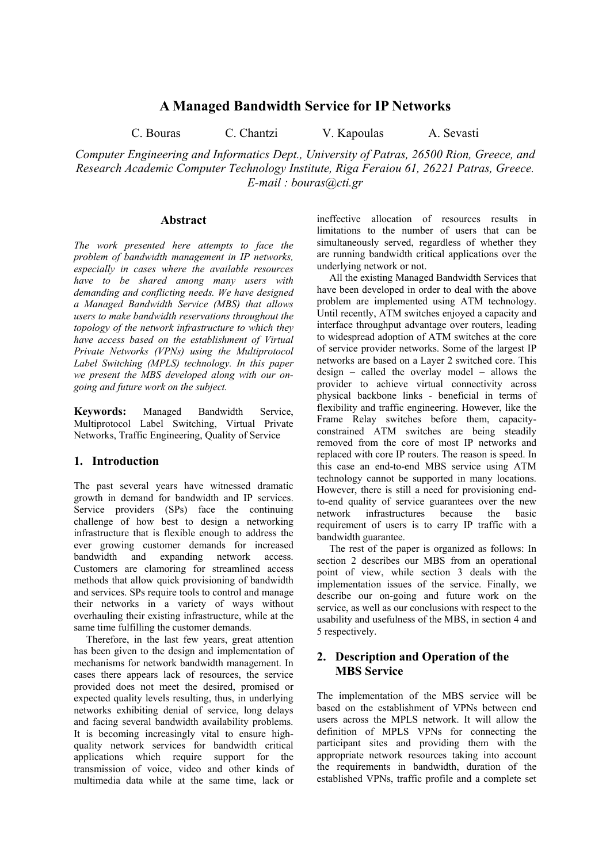# **A Managed Bandwidth Service for IP Networks**

C. Bouras C. Chantzi V. Kapoulas A. Sevasti

*Computer Engineering and Informatics Dept., University of Patras, 26500 Rion, Greece, and Research Academic Computer Technology Institute, Riga Feraiou 61, 26221 Patras, Greece. E-mail : bouras@cti.gr* 

## **Abstract**

*The work presented here attempts to face the problem of bandwidth management in IP networks, especially in cases where the available resources have to be shared among many users with demanding and conflicting needs. We have designed a Managed Bandwidth Service (MBS) that allows users to make bandwidth reservations throughout the topology of the network infrastructure to which they have access based on the establishment of Virtual Private Networks (VPNs) using the Multiprotocol Label Switching (MPLS) technology. In this paper we present the MBS developed along with our ongoing and future work on the subject.* 

**Keywords:** Managed Bandwidth Service, Multiprotocol Label Switching, Virtual Private Networks, Traffic Engineering, Quality of Service

## **1. Introduction**

The past several years have witnessed dramatic growth in demand for bandwidth and IP services. Service providers (SPs) face the continuing challenge of how best to design a networking infrastructure that is flexible enough to address the ever growing customer demands for increased bandwidth and expanding network access. Customers are clamoring for streamlined access methods that allow quick provisioning of bandwidth and services. SPs require tools to control and manage their networks in a variety of ways without overhauling their existing infrastructure, while at the same time fulfilling the customer demands.

Therefore, in the last few years, great attention has been given to the design and implementation of mechanisms for network bandwidth management. In cases there appears lack of resources, the service provided does not meet the desired, promised or expected quality levels resulting, thus, in underlying networks exhibiting denial of service, long delays and facing several bandwidth availability problems. It is becoming increasingly vital to ensure highquality network services for bandwidth critical applications which require support for the transmission of voice, video and other kinds of multimedia data while at the same time, lack or

ineffective allocation of resources results in limitations to the number of users that can be simultaneously served, regardless of whether they are running bandwidth critical applications over the underlying network or not.

All the existing Managed Bandwidth Services that have been developed in order to deal with the above problem are implemented using ATM technology. Until recently, ATM switches enjoyed a capacity and interface throughput advantage over routers, leading to widespread adoption of ATM switches at the core of service provider networks. Some of the largest IP networks are based on a Layer 2 switched core. This design – called the overlay model – allows the provider to achieve virtual connectivity across physical backbone links - beneficial in terms of flexibility and traffic engineering. However, like the Frame Relay switches before them, capacityconstrained ATM switches are being steadily removed from the core of most IP networks and replaced with core IP routers. The reason is speed. In this case an end-to-end MBS service using ATM technology cannot be supported in many locations. However, there is still a need for provisioning endto-end quality of service guarantees over the new network infrastructures because the basic requirement of users is to carry IP traffic with a bandwidth guarantee.

The rest of the paper is organized as follows: In section 2 describes our MBS from an operational point of view, while section 3 deals with the implementation issues of the service. Finally, we describe our on-going and future work on the service, as well as our conclusions with respect to the usability and usefulness of the MBS, in section 4 and 5 respectively.

## **2. Description and Operation of the MBS Service**

The implementation of the MBS service will be based on the establishment of VPNs between end users across the MPLS network. It will allow the definition of MPLS VPNs for connecting the participant sites and providing them with the appropriate network resources taking into account the requirements in bandwidth, duration of the established VPNs, traffic profile and a complete set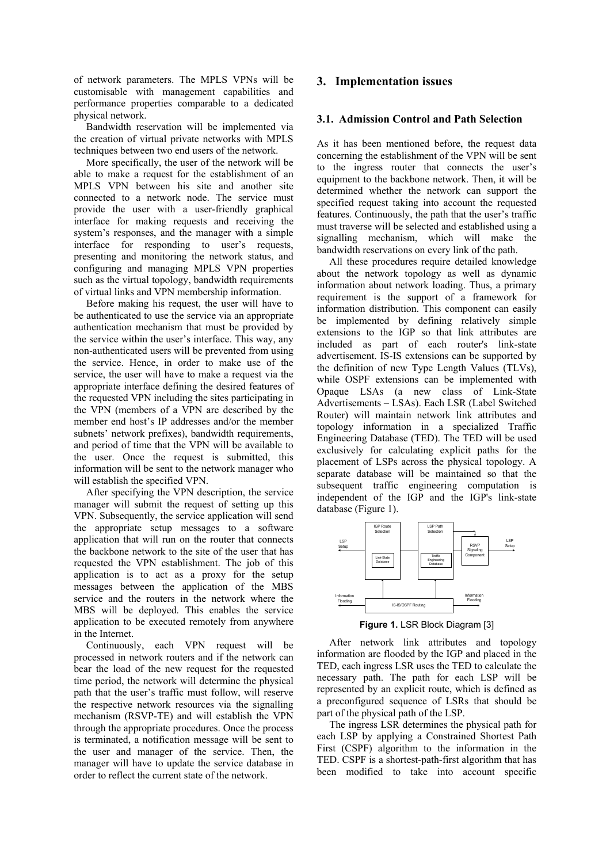of network parameters. The MPLS VPNs will be customisable with management capabilities and performance properties comparable to a dedicated physical network.

Bandwidth reservation will be implemented via the creation of virtual private networks with MPLS techniques between two end users of the network.

More specifically, the user of the network will be able to make a request for the establishment of an MPLS VPN between his site and another site connected to a network node. The service must provide the user with a user-friendly graphical interface for making requests and receiving the system's responses, and the manager with a simple interface for responding to user's requests, presenting and monitoring the network status, and configuring and managing MPLS VPN properties such as the virtual topology, bandwidth requirements of virtual links and VPN membership information.

Before making his request, the user will have to be authenticated to use the service via an appropriate authentication mechanism that must be provided by the service within the user's interface. This way, any non-authenticated users will be prevented from using the service. Hence, in order to make use of the service, the user will have to make a request via the appropriate interface defining the desired features of the requested VPN including the sites participating in the VPN (members of a VPN are described by the member end host's IP addresses and/or the member subnets' network prefixes), bandwidth requirements, and period of time that the VPN will be available to the user. Once the request is submitted, this information will be sent to the network manager who will establish the specified VPN.

After specifying the VPN description, the service manager will submit the request of setting up this VPN. Subsequently, the service application will send the appropriate setup messages to a software application that will run on the router that connects the backbone network to the site of the user that has requested the VPN establishment. The job of this application is to act as a proxy for the setup messages between the application of the MBS service and the routers in the network where the MBS will be deployed. This enables the service application to be executed remotely from anywhere in the Internet.

Continuously, each VPN request will be processed in network routers and if the network can bear the load of the new request for the requested time period, the network will determine the physical path that the user's traffic must follow, will reserve the respective network resources via the signalling mechanism (RSVP-TE) and will establish the VPN through the appropriate procedures. Once the process is terminated, a notification message will be sent to the user and manager of the service. Then, the manager will have to update the service database in order to reflect the current state of the network.

## **3. Implementation issues**

#### **3.1. Admission Control and Path Selection**

As it has been mentioned before, the request data concerning the establishment of the VPN will be sent to the ingress router that connects the user's equipment to the backbone network. Then, it will be determined whether the network can support the specified request taking into account the requested features. Continuously, the path that the user's traffic must traverse will be selected and established using a signalling mechanism, which will make the bandwidth reservations on every link of the path.

All these procedures require detailed knowledge about the network topology as well as dynamic information about network loading. Thus, a primary requirement is the support of a framework for information distribution. This component can easily be implemented by defining relatively simple extensions to the IGP so that link attributes are included as part of each router's link-state advertisement. IS-IS extensions can be supported by the definition of new Type Length Values (TLVs), while OSPF extensions can be implemented with Opaque LSAs (a new class of Link-State Advertisements – LSAs). Each LSR (Label Switched Router) will maintain network link attributes and topology information in a specialized Traffic Engineering Database (TED). The TED will be used exclusively for calculating explicit paths for the placement of LSPs across the physical topology. A separate database will be maintained so that the subsequent traffic engineering computation is independent of the IGP and the IGP's link-state database ([Figure 1\)](#page-1-0).

<span id="page-1-0"></span>

**Figure 1.** LSR Block Diagram [\[3\]](#page-4-0) 

After network link attributes and topology information are flooded by the IGP and placed in the TED, each ingress LSR uses the TED to calculate the necessary path. The path for each LSP will be represented by an explicit route, which is defined as a preconfigured sequence of LSRs that should be part of the physical path of the LSP.

The ingress LSR determines the physical path for each LSP by applying a Constrained Shortest Path First (CSPF) algorithm to the information in the TED. CSPF is a shortest-path-first algorithm that has been modified to take into account specific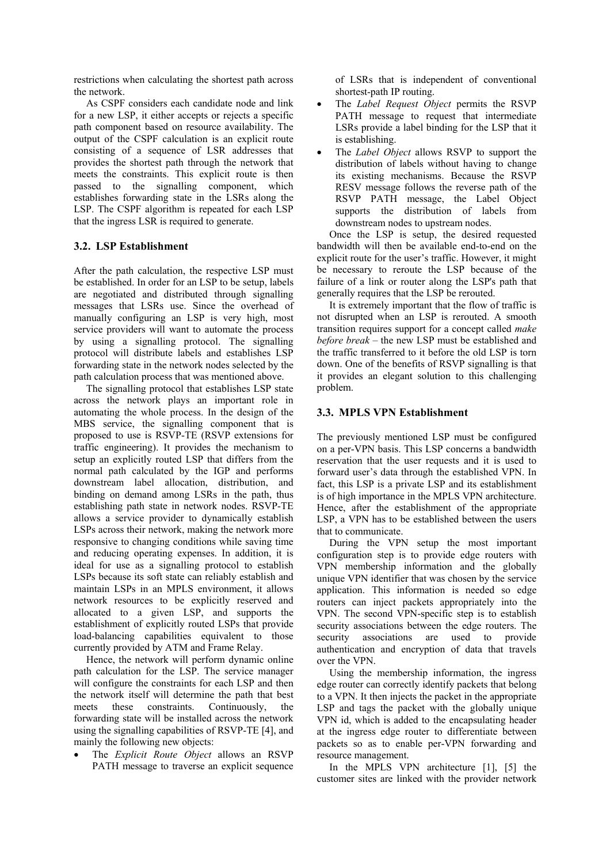restrictions when calculating the shortest path across the network.

As CSPF considers each candidate node and link for a new LSP, it either accepts or rejects a specific path component based on resource availability. The output of the CSPF calculation is an explicit route consisting of a sequence of LSR addresses that provides the shortest path through the network that meets the constraints. This explicit route is then passed to the signalling component, which establishes forwarding state in the LSRs along the LSP. The CSPF algorithm is repeated for each LSP that the ingress LSR is required to generate.

## **3.2. LSP Establishment**

After the path calculation, the respective LSP must be established. In order for an LSP to be setup, labels are negotiated and distributed through signalling messages that LSRs use. Since the overhead of manually configuring an LSP is very high, most service providers will want to automate the process by using a signalling protocol. The signalling protocol will distribute labels and establishes LSP forwarding state in the network nodes selected by the path calculation process that was mentioned above.

The signalling protocol that establishes LSP state across the network plays an important role in automating the whole process. In the design of the MBS service, the signalling component that is proposed to use is RSVP-TE (RSVP extensions for traffic engineering). It provides the mechanism to setup an explicitly routed LSP that differs from the normal path calculated by the IGP and performs downstream label allocation, distribution, and binding on demand among LSRs in the path, thus establishing path state in network nodes. RSVP-TE allows a service provider to dynamically establish LSPs across their network, making the network more responsive to changing conditions while saving time and reducing operating expenses. In addition, it is ideal for use as a signalling protocol to establish LSPs because its soft state can reliably establish and maintain LSPs in an MPLS environment, it allows network resources to be explicitly reserved and allocated to a given LSP, and supports the establishment of explicitly routed LSPs that provide load-balancing capabilities equivalent to those currently provided by ATM and Frame Relay.

Hence, the network will perform dynamic online path calculation for the LSP. The service manager will configure the constraints for each LSP and then the network itself will determine the path that best meets these constraints. Continuously, the forwarding state will be installed across the network using the signalling capabilities of RSVP-TE [\[4\],](#page-4-1) and mainly the following new objects:

• The *Explicit Route Object* allows an RSVP PATH message to traverse an explicit sequence of LSRs that is independent of conventional shortest-path IP routing.

- The *Label Request Object* permits the RSVP PATH message to request that intermediate LSRs provide a label binding for the LSP that it is establishing.
- The *Label Object* allows RSVP to support the distribution of labels without having to change its existing mechanisms. Because the RSVP RESV message follows the reverse path of the RSVP PATH message, the Label Object supports the distribution of labels from downstream nodes to upstream nodes.

Once the LSP is setup, the desired requested bandwidth will then be available end-to-end on the explicit route for the user's traffic. However, it might be necessary to reroute the LSP because of the failure of a link or router along the LSP's path that generally requires that the LSP be rerouted.

It is extremely important that the flow of traffic is not disrupted when an LSP is rerouted. A smooth transition requires support for a concept called *make before break –* the new LSP must be established and the traffic transferred to it before the old LSP is torn down. One of the benefits of RSVP signalling is that it provides an elegant solution to this challenging problem.

### **3.3. MPLS VPN Establishment**

The previously mentioned LSP must be configured on a per-VPN basis. This LSP concerns a bandwidth reservation that the user requests and it is used to forward user's data through the established VPN. In fact, this LSP is a private LSP and its establishment is of high importance in the MPLS VPN architecture. Hence, after the establishment of the appropriate LSP, a VPN has to be established between the users that to communicate.

During the VPN setup the most important configuration step is to provide edge routers with VPN membership information and the globally unique VPN identifier that was chosen by the service application. This information is needed so edge routers can inject packets appropriately into the VPN. The second VPN-specific step is to establish security associations between the edge routers. The security associations are used to provide authentication and encryption of data that travels over the VPN.

Using the membership information, the ingress edge router can correctly identify packets that belong to a VPN. It then injects the packet in the appropriate LSP and tags the packet with the globally unique VPN id, which is added to the encapsulating header at the ingress edge router to differentiate between packets so as to enable per-VPN forwarding and resource management.

In the MPLS VPN architecture [\[1\],](#page-4-2) [\[5\]](#page-4-3) the customer sites are linked with the provider network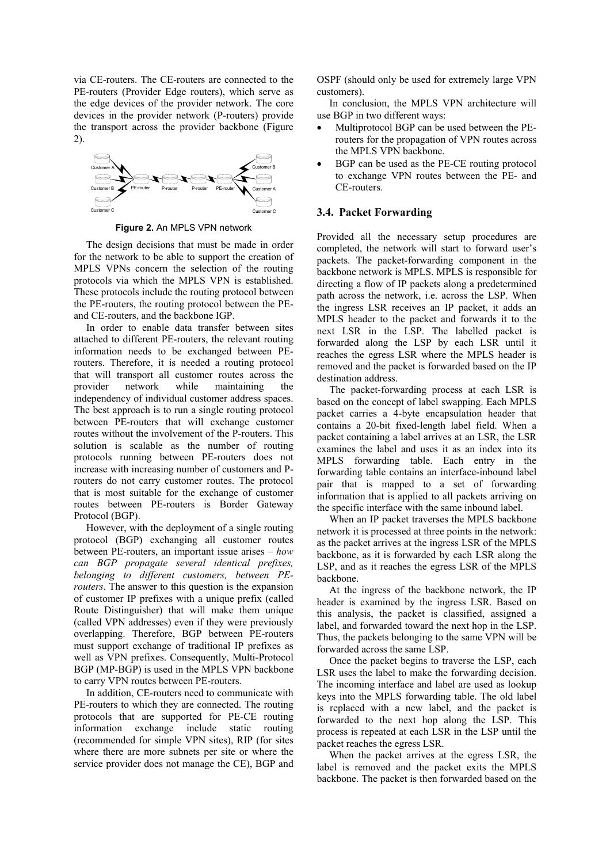via CE-routers. The CE-routers are connected to the PE-routers (Provider Edge routers), which serve as the edge devices of the provider network. The core devices in the provider network (P-routers) provide the transport across the provider backbone [\(Figure](#page-3-0)  [2\)](#page-3-0).

<span id="page-3-0"></span>

**Figure 2.** An MPLS VPN network

The design decisions that must be made in order for the network to be able to support the creation of MPLS VPNs concern the selection of the routing protocols via which the MPLS VPN is established. These protocols include the routing protocol between the PE-routers, the routing protocol between the PEand CE-routers, and the backbone IGP.

In order to enable data transfer between sites attached to different PE-routers, the relevant routing information needs to be exchanged between PErouters. Therefore, it is needed a routing protocol that will transport all customer routes across the provider network while maintaining the independency of individual customer address spaces. The best approach is to run a single routing protocol between PE-routers that will exchange customer routes without the involvement of the P-routers. This solution is scalable as the number of routing protocols running between PE-routers does not increase with increasing number of customers and Prouters do not carry customer routes. The protocol that is most suitable for the exchange of customer routes between PE-routers is Border Gateway Protocol (BGP).

However, with the deployment of a single routing protocol (BGP) exchanging all customer routes between PE-routers, an important issue arises – *how can BGP propagate several identical prefixes, belonging to different customers, between PErouters*. The answer to this question is the expansion of customer IP prefixes with a unique prefix (called Route Distinguisher) that will make them unique (called VPN addresses) even if they were previously overlapping. Therefore, BGP between PE-routers must support exchange of traditional IP prefixes as well as VPN prefixes. Consequently, Multi-Protocol BGP (MP-BGP) is used in the MPLS VPN backbone to carry VPN routes between PE-routers.

In addition, CE-routers need to communicate with PE-routers to which they are connected. The routing protocols that are supported for PE-CE routing information exchange include static routing (recommended for simple VPN sites), RIP (for sites where there are more subnets per site or where the service provider does not manage the CE), BGP and

OSPF (should only be used for extremely large VPN customers).

In conclusion, the MPLS VPN architecture will use BGP in two different ways:

- Multiprotocol BGP can be used between the PErouters for the propagation of VPN routes across the MPLS VPN backbone.
- BGP can be used as the PE-CE routing protocol to exchange VPN routes between the PE- and CE-routers.

#### **3.4. Packet Forwarding**

Provided all the necessary setup procedures are completed, the network will start to forward user's packets. The packet-forwarding component in the backbone network is MPLS. MPLS is responsible for directing a flow of IP packets along a predetermined path across the network, i.e. across the LSP. When the ingress LSR receives an IP packet, it adds an MPLS header to the packet and forwards it to the next LSR in the LSP. The labelled packet is forwarded along the LSP by each LSR until it reaches the egress LSR where the MPLS header is removed and the packet is forwarded based on the IP destination address.

The packet-forwarding process at each LSR is based on the concept of label swapping. Each MPLS packet carries a 4-byte encapsulation header that contains a 20-bit fixed-length label field. When a packet containing a label arrives at an LSR, the LSR examines the label and uses it as an index into its MPLS forwarding table. Each entry in the forwarding table contains an interface-inbound label pair that is mapped to a set of forwarding information that is applied to all packets arriving on the specific interface with the same inbound label.

When an IP packet traverses the MPLS backbone network it is processed at three points in the network: as the packet arrives at the ingress LSR of the MPLS backbone, as it is forwarded by each LSR along the LSP, and as it reaches the egress LSR of the MPLS backbone.

At the ingress of the backbone network, the IP header is examined by the ingress LSR. Based on this analysis, the packet is classified, assigned a label, and forwarded toward the next hop in the LSP. Thus, the packets belonging to the same VPN will be forwarded across the same LSP.

Once the packet begins to traverse the LSP, each LSR uses the label to make the forwarding decision. The incoming interface and label are used as lookup keys into the MPLS forwarding table. The old label is replaced with a new label, and the packet is forwarded to the next hop along the LSP. This process is repeated at each LSR in the LSP until the packet reaches the egress LSR.

When the packet arrives at the egress LSR, the label is removed and the packet exits the MPLS backbone. The packet is then forwarded based on the